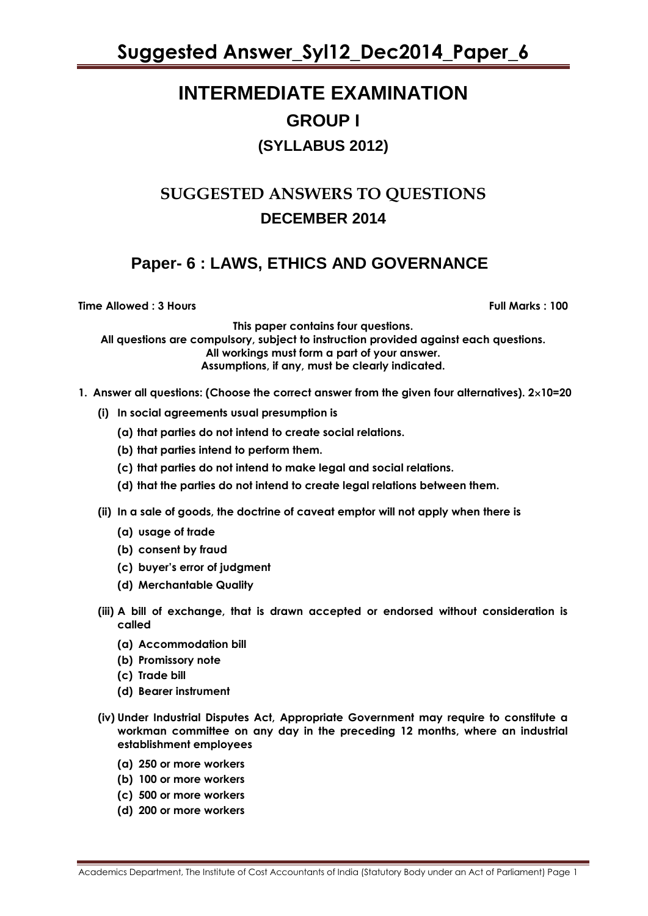**Suggested Answer\_Syl12\_Dec2014\_Paper\_6**

# **INTERMEDIATE EXAMINATION GROUP I**

### **(SYLLABUS 2012)**

# **SUGGESTED ANSWERS TO QUESTIONS DECEMBER 2014**

## **Paper- 6 : LAWS, ETHICS AND GOVERNANCE**

**Time Allowed : 3 Hours Full Marks Full Marks : 100** 

**This paper contains four questions. All questions are compulsory, subject to instruction provided against each questions. All workings must form a part of your answer. Assumptions, if any, must be clearly indicated.**

- **1. Answer all questions: (Choose the correct answer from the given four alternatives). 210=20**
	- **(i) In social agreements usual presumption is**
		- **(a) that parties do not intend to create social relations.**
		- **(b) that parties intend to perform them.**
		- **(c) that parties do not intend to make legal and social relations.**
		- **(d) that the parties do not intend to create legal relations between them.**
	- **(ii) In a sale of goods, the doctrine of caveat emptor will not apply when there is**
		- **(a) usage of trade**
		- **(b) consent by fraud**
		- **(c) buyer"s error of judgment**
		- **(d) Merchantable Quality**
	- **(iii) A bill of exchange, that is drawn accepted or endorsed without consideration is called**
		- **(a) Accommodation bill**
		- **(b) Promissory note**
		- **(c) Trade bill**
		- **(d) Bearer instrument**
	- **(iv) Under Industrial Disputes Act, Appropriate Government may require to constitute a workman committee on any day in the preceding 12 months, where an industrial establishment employees** 
		- **(a) 250 or more workers**
		- **(b) 100 or more workers**
		- **(c) 500 or more workers**
		- **(d) 200 or more workers**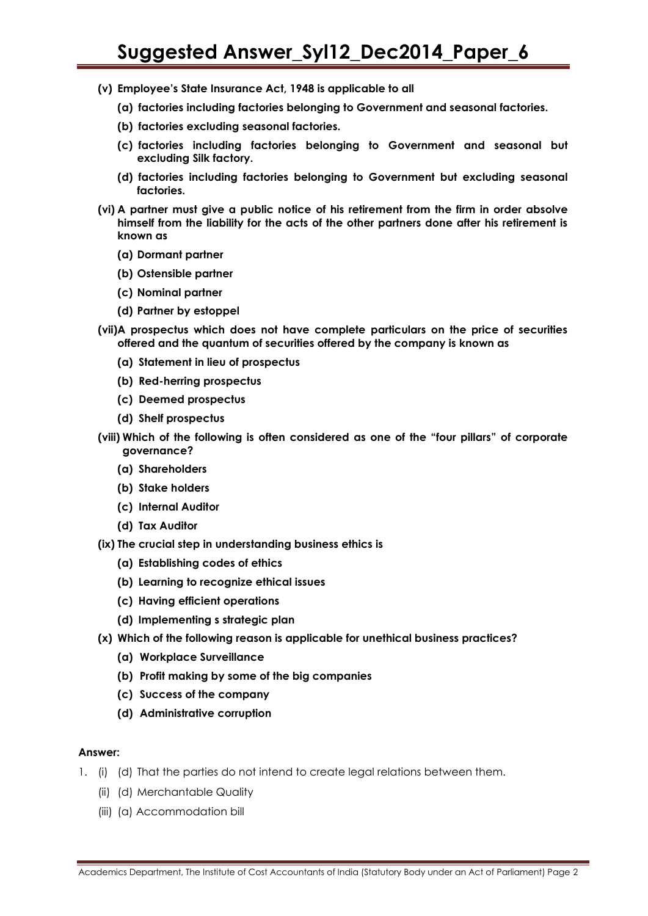- **(v) Employee"s State Insurance Act, 1948 is applicable to all** 
	- **(a) factories including factories belonging to Government and seasonal factories.**
	- **(b) factories excluding seasonal factories.**
	- **(c) factories including factories belonging to Government and seasonal but excluding Silk factory.**
	- **(d) factories including factories belonging to Government but excluding seasonal factories.**
- **(vi) A partner must give a public notice of his retirement from the firm in order absolve himself from the liability for the acts of the other partners done after his retirement is known as** 
	- **(a) Dormant partner**
	- **(b) Ostensible partner**
	- **(c) Nominal partner**
	- **(d) Partner by estoppel**
- **(vii)A prospectus which does not have complete particulars on the price of securities offered and the quantum of securities offered by the company is known as** 
	- **(a) Statement in lieu of prospectus**
	- **(b) Red-herring prospectus**
	- **(c) Deemed prospectus**
	- **(d) Shelf prospectus**
- **(viii) Which of the following is often considered as one of the "four pillars" of corporate governance?** 
	- **(a) Shareholders**
	- **(b) Stake holders**
	- **(c) Internal Auditor**
	- **(d) Tax Auditor**
- **(ix) The crucial step in understanding business ethics is** 
	- **(a) Establishing codes of ethics**
	- **(b) Learning to recognize ethical issues**
	- **(c) Having efficient operations**
	- **(d) Implementing s strategic plan**
- **(x) Which of the following reason is applicable for unethical business practices?**
	- **(a) Workplace Surveillance**
	- **(b) Profit making by some of the big companies**
	- **(c) Success of the company**
	- **(d) Administrative corruption**

#### **Answer:**

- 1. (i) (d) That the parties do not intend to create legal relations between them.
	- (ii) (d) Merchantable Quality
	- (iii) (a) Accommodation bill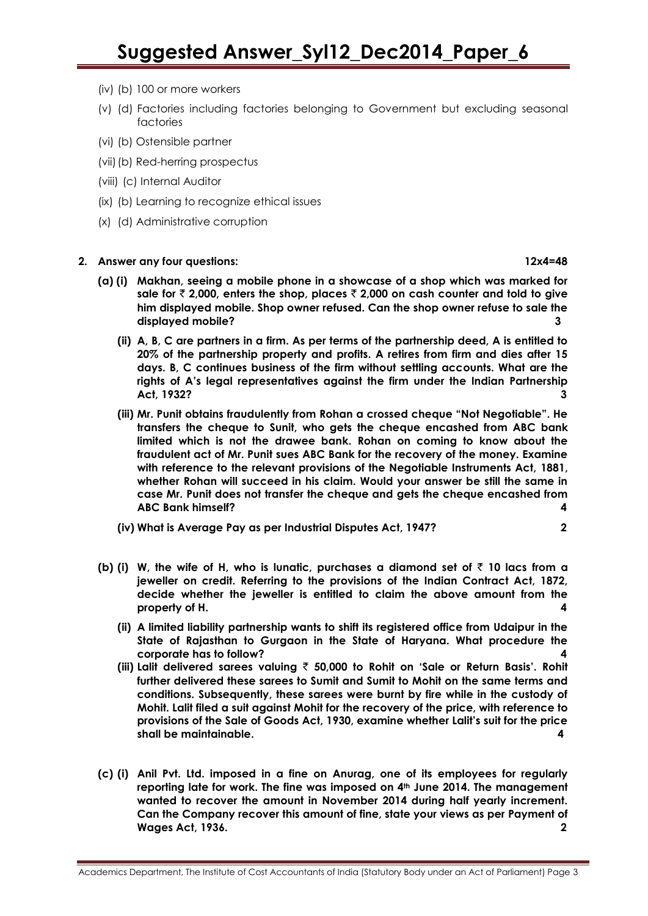- (iv) (b) 100 or more workers
- (v) (d) Factories including factories belonging to Government but excluding seasonal factories
- (vi) (b) Ostensible partner
- (vii)(b) Red-herring prospectus
- (viii) (c) Internal Auditor
- (ix) (b) Learning to recognize ethical issues
- (x) (d) Administrative corruption

#### **2. Answer any four questions: 12x4=48**

- **(a) (i) Makhan, seeing a mobile phone in a showcase of a shop which was marked for sale for** ` **2,000, enters the shop, places** ` **2,000 on cash counter and told to give him displayed mobile. Shop owner refused. Can the shop owner refuse to sale the displayed mobile? 3**
	- **(ii) A, B, C are partners in a firm. As per terms of the partnership deed, A is entitled to 20% of the partnership property and profits. A retires from firm and dies after 15 days. B, C continues business of the firm without settling accounts. What are the rights of A"s legal representatives against the firm under the Indian Partnership Act, 1932? 3**
	- **(iii) Mr. Punit obtains fraudulently from Rohan a crossed cheque "Not Negotiable". He transfers the cheque to Sunit, who gets the cheque encashed from ABC bank limited which is not the drawee bank. Rohan on coming to know about the fraudulent act of Mr. Punit sues ABC Bank for the recovery of the money. Examine with reference to the relevant provisions of the Negotiable Instruments Act, 1881, whether Rohan will succeed in his claim. Would your answer be still the same in case Mr. Punit does not transfer the cheque and gets the cheque encashed from ABC Bank himself? 4**
	- **(iv) What is Average Pay as per Industrial Disputes Act, 1947? 2**
- **(b)** (i) W, the wife of H, who is lunatic, purchases a diamond set of  $\bar{\tau}$  10 lacs from a **jeweller on credit. Referring to the provisions of the Indian Contract Act, 1872, decide whether the jeweller is entitled to claim the above amount from the property of H. 4**
	- **(ii) A limited liability partnership wants to shift its registered office from Udaipur in the State of Rajasthan to Gurgaon in the State of Haryana. What procedure the corporate has to follow? 4**
	- **(iii) Lalit delivered sarees valuing** ` **50,000 to Rohit on "Sale or Return Basis". Rohit further delivered these sarees to Sumit and Sumit to Mohit on the same terms and conditions. Subsequently, these sarees were burnt by fire while in the custody of Mohit. Lalit filed a suit against Mohit for the recovery of the price, with reference to provisions of the Sale of Goods Act, 1930, examine whether Lalit"s suit for the price shall be maintainable. 4**
- **(c) (i) Anil Pvt. Ltd. imposed in a fine on Anurag, one of its employees for regularly reporting late for work. The fine was imposed on 4th June 2014. The management wanted to recover the amount in November 2014 during half yearly increment. Can the Company recover this amount of fine, state your views as per Payment of Wages Act, 1936. 2**

Academics Department, The Institute of Cost Accountants of India (Statutory Body under an Act of Parliament) Page 3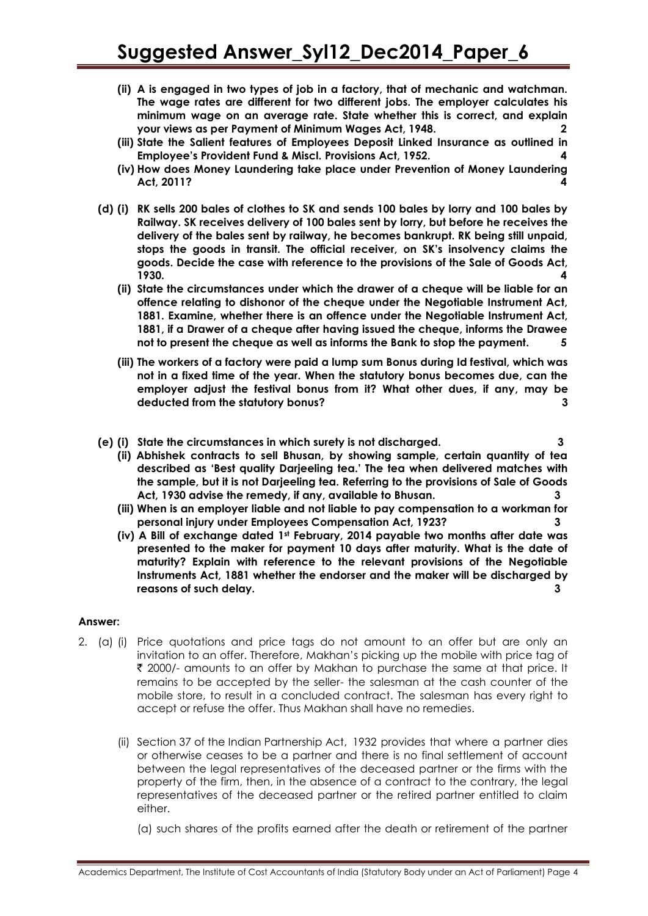- **(ii) A is engaged in two types of job in a factory, that of mechanic and watchman. The wage rates are different for two different jobs. The employer calculates his minimum wage on an average rate. State whether this is correct, and explain your views as per Payment of Minimum Wages Act, 1948. 2**
- **(iii) State the Salient features of Employees Deposit Linked Insurance as outlined in Employee"s Provident Fund & Miscl. Provisions Act, 1952. 4**
- **(iv) How does Money Laundering take place under Prevention of Money Laundering Act, 2011? 4**
- **(d) (i) RK sells 200 bales of clothes to SK and sends 100 bales by lorry and 100 bales by Railway. SK receives delivery of 100 bales sent by lorry, but before he receives the delivery of the bales sent by railway, he becomes bankrupt. RK being still unpaid, stops the goods in transit. The official receiver, on SK"s insolvency claims the goods. Decide the case with reference to the provisions of the Sale of Goods Act, 1930. 4**
	- **(ii) State the circumstances under which the drawer of a cheque will be liable for an offence relating to dishonor of the cheque under the Negotiable Instrument Act, 1881. Examine, whether there is an offence under the Negotiable Instrument Act, 1881, if a Drawer of a cheque after having issued the cheque, informs the Drawee not to present the cheque as well as informs the Bank to stop the payment. 5**
	- **(iii) The workers of a factory were paid a lump sum Bonus during Id festival, which was not in a fixed time of the year. When the statutory bonus becomes due, can the employer adjust the festival bonus from it? What other dues, if any, may be deducted from the statutory bonus? 3**
- **(e) (i) State the circumstances in which surety is not discharged. 3**
	- **(ii) Abhishek contracts to sell Bhusan, by showing sample, certain quantity of tea described as "Best quality Darjeeling tea." The tea when delivered matches with the sample, but it is not Darjeeling tea. Referring to the provisions of Sale of Goods Act, 1930 advise the remedy, if any, available to Bhusan. 3**
	- **(iii) When is an employer liable and not liable to pay compensation to a workman for personal injury under Employees Compensation Act, 1923? 3**
	- **(iv) A Bill of exchange dated 1st February, 2014 payable two months after date was presented to the maker for payment 10 days after maturity. What is the date of maturity? Explain with reference to the relevant provisions of the Negotiable Instruments Act, 1881 whether the endorser and the maker will be discharged by reasons of such delay. 3**

#### **Answer:**

- 2. (a) (i) Price quotations and price tags do not amount to an offer but are only an invitation to an offer. Therefore, Makhan"s picking up the mobile with price tag of ` 2000/- amounts to an offer by Makhan to purchase the same at that price. It remains to be accepted by the seller- the salesman at the cash counter of the mobile store, to result in a concluded contract. The salesman has every right to accept or refuse the offer. Thus Makhan shall have no remedies.
	- (ii) Section 37 of the Indian Partnership Act, 1932 provides that where a partner dies or otherwise ceases to be a partner and there is no final settlement of account between the legal representatives of the deceased partner or the firms with the property of the firm, then, in the absence of a contract to the contrary, the legal representatives of the deceased partner or the retired partner entitled to claim either.
		- (a) such shares of the profits earned after the death or retirement of the partner

Academics Department, The Institute of Cost Accountants of India (Statutory Body under an Act of Parliament) Page 4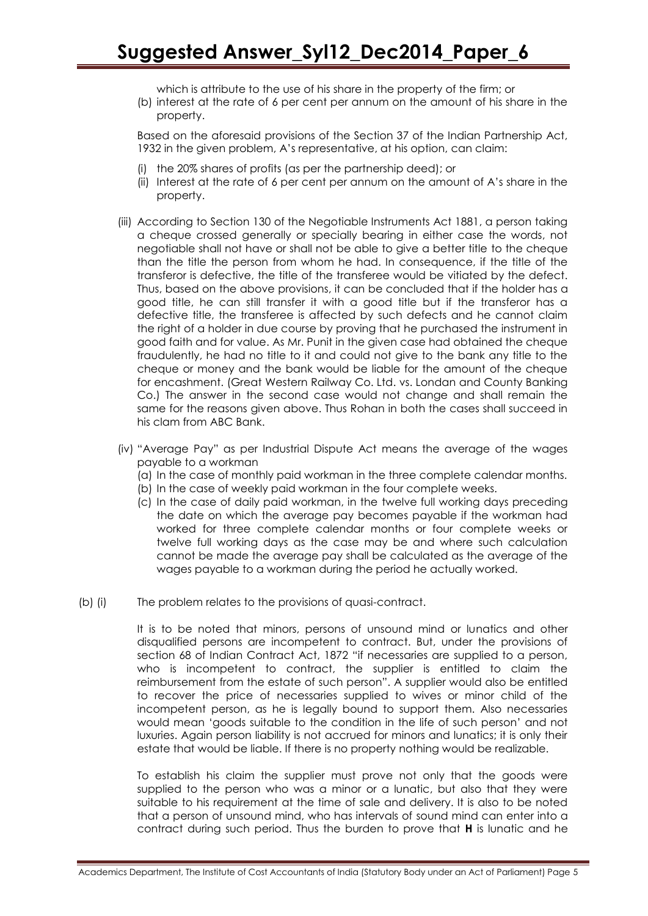which is attribute to the use of his share in the property of the firm; or

(b) interest at the rate of 6 per cent per annum on the amount of his share in the property.

Based on the aforesaid provisions of the Section 37 of the Indian Partnership Act, 1932 in the given problem, A"s representative, at his option, can claim:

- (i) the 20% shares of profits (as per the partnership deed); or
- (ii) Interest at the rate of 6 per cent per annum on the amount of A"s share in the property.
- (iii) According to Section 130 of the Negotiable Instruments Act 1881, a person taking a cheque crossed generally or specially bearing in either case the words, not negotiable shall not have or shall not be able to give a better title to the cheque than the title the person from whom he had. In consequence, if the title of the transferor is defective, the title of the transferee would be vitiated by the defect. Thus, based on the above provisions, it can be concluded that if the holder has a good title, he can still transfer it with a good title but if the transferor has a defective title, the transferee is affected by such defects and he cannot claim the right of a holder in due course by proving that he purchased the instrument in good faith and for value. As Mr. Punit in the given case had obtained the cheque fraudulently, he had no title to it and could not give to the bank any title to the cheque or money and the bank would be liable for the amount of the cheque for encashment. (Great Western Railway Co. Ltd. vs. Londan and County Banking Co.) The answer in the second case would not change and shall remain the same for the reasons given above. Thus Rohan in both the cases shall succeed in his clam from ABC Bank.
- (iv) "Average Pay" as per Industrial Dispute Act means the average of the wages payable to a workman
	- (a) In the case of monthly paid workman in the three complete calendar months.
	- (b) In the case of weekly paid workman in the four complete weeks.
	- (c) In the case of daily paid workman, in the twelve full working days preceding the date on which the average pay becomes payable if the workman had worked for three complete calendar months or four complete weeks or twelve full working days as the case may be and where such calculation cannot be made the average pay shall be calculated as the average of the wages payable to a workman during the period he actually worked.
- (b) (i) The problem relates to the provisions of quasi-contract.

It is to be noted that minors, persons of unsound mind or lunatics and other disqualified persons are incompetent to contract. But, under the provisions of section 68 of Indian Contract Act, 1872 "if necessaries are supplied to a person, who is incompetent to contract, the supplier is entitled to claim the reimbursement from the estate of such person". A supplier would also be entitled to recover the price of necessaries supplied to wives or minor child of the incompetent person, as he is legally bound to support them. Also necessaries would mean "goods suitable to the condition in the life of such person" and not luxuries. Again person liability is not accrued for minors and lunatics; it is only their estate that would be liable. If there is no property nothing would be realizable.

To establish his claim the supplier must prove not only that the goods were supplied to the person who was a minor or a lunatic, but also that they were suitable to his requirement at the time of sale and delivery. It is also to be noted that a person of unsound mind, who has intervals of sound mind can enter into a contract during such period. Thus the burden to prove that **H** is lunatic and he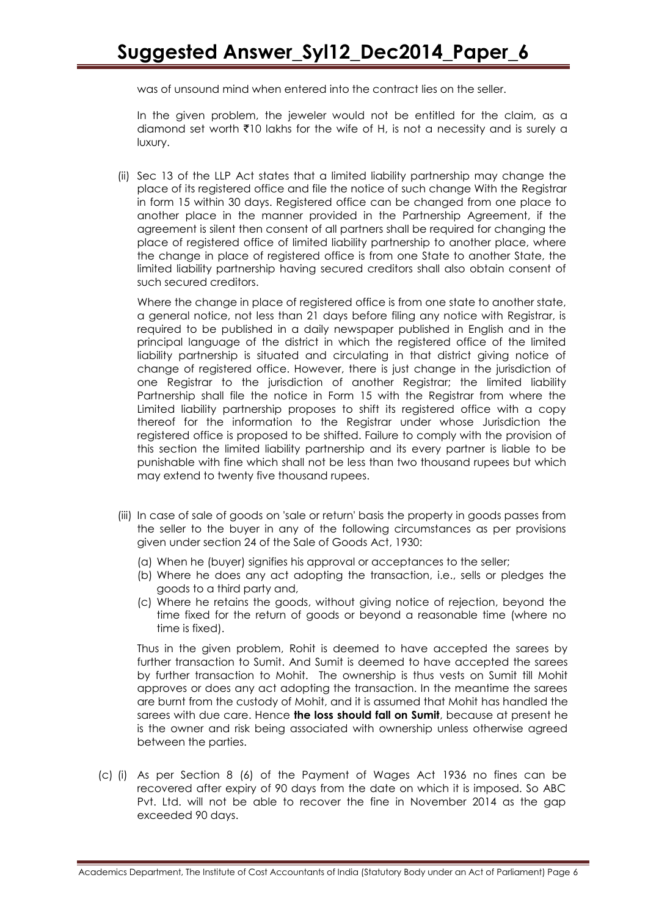was of unsound mind when entered into the contract lies on the seller.

In the given problem, the jeweler would not be entitled for the claim, as a diamond set worth  $\overline{z}$ 10 lakhs for the wife of H, is not a necessity and is surely a luxury.

(ii) Sec 13 of the LLP Act states that a limited liability partnership may change the place of its registered office and file the notice of such change With the Registrar in form 15 within 30 days. Registered office can be changed from one place to another place in the manner provided in the Partnership Agreement, if the agreement is silent then consent of all partners shall be required for changing the place of registered office of limited liability partnership to another place, where the change in place of registered office is from one State to another State, the limited liability partnership having secured creditors shall also obtain consent of such secured creditors.

Where the change in place of registered office is from one state to another state, a general notice, not less than 21 days before filing any notice with Registrar, is required to be published in a daily newspaper published in English and in the principal language of the district in which the registered office of the limited liability partnership is situated and circulating in that district giving notice of change of registered office. However, there is just change in the jurisdiction of one Registrar to the jurisdiction of another Registrar; the limited liability Partnership shall file the notice in Form 15 with the Registrar from where the Limited liability partnership proposes to shift its registered office with a copy thereof for the information to the Registrar under whose Jurisdiction the registered office is proposed to be shifted. Failure to comply with the provision of this section the limited liability partnership and its every partner is liable to be punishable with fine which shall not be less than two thousand rupees but which may extend to twenty five thousand rupees.

- (iii) In case of sale of goods on 'sale or return' basis the property in goods passes from the seller to the buyer in any of the following circumstances as per provisions given under section 24 of the Sale of Goods Act, 1930:
	- (a) When he (buyer) signifies his approval or acceptances to the seller;
	- (b) Where he does any act adopting the transaction, i.e., sells or pledges the goods to a third party and,
	- (c) Where he retains the goods, without giving notice of rejection, beyond the time fixed for the return of goods or beyond a reasonable time (where no time is fixed).

Thus in the given problem, Rohit is deemed to have accepted the sarees by further transaction to Sumit. And Sumit is deemed to have accepted the sarees by further transaction to Mohit. The ownership is thus vests on Sumit till Mohit approves or does any act adopting the transaction. In the meantime the sarees are burnt from the custody of Mohit, and it is assumed that Mohit has handled the sarees with due care. Hence **the loss should fall on Sumit**, because at present he is the owner and risk being associated with ownership unless otherwise agreed between the parties.

(c) (i) As per Section 8 (6) of the Payment of Wages Act 1936 no fines can be recovered after expiry of 90 days from the date on which it is imposed. So ABC Pvt. Ltd. will not be able to recover the fine in November 2014 as the gap exceeded 90 days.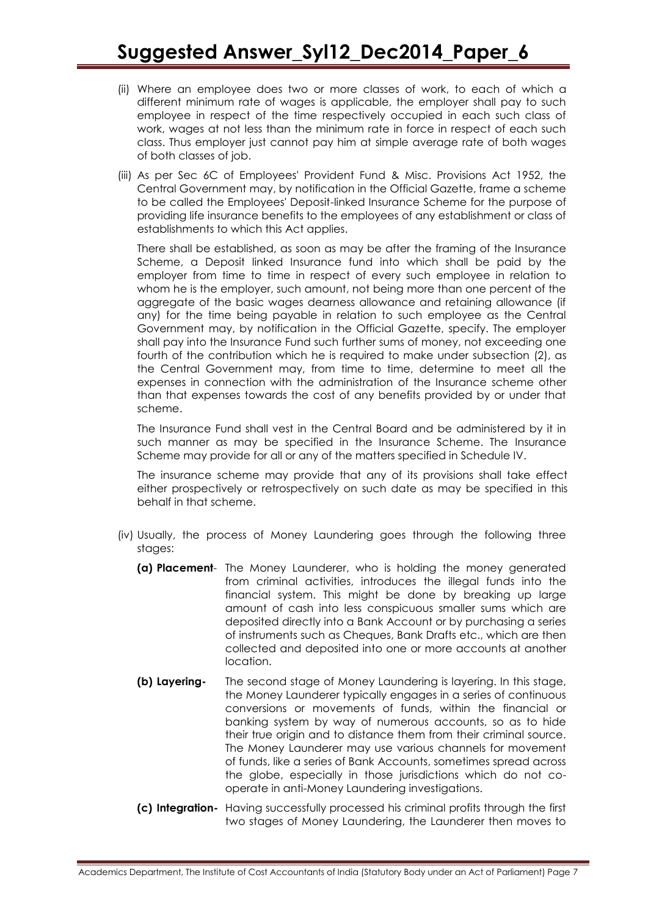- (ii) Where an employee does two or more classes of work, to each of which a different minimum rate of wages is applicable, the employer shall pay to such employee in respect of the time respectively occupied in each such class of work, wages at not less than the minimum rate in force in respect of each such class. Thus employer just cannot pay him at simple average rate of both wages of both classes of job.
- (iii) As per Sec 6C of Employees' Provident Fund & Misc. Provisions Act 1952, the Central Government may, by notification in the Official Gazette, frame a scheme to be called the Employees' Deposit-linked Insurance Scheme for the purpose of providing life insurance benefits to the employees of any establishment or class of establishments to which this Act applies.

There shall be established, as soon as may be after the framing of the Insurance Scheme, a Deposit linked Insurance fund into which shall be paid by the employer from time to time in respect of every such employee in relation to whom he is the employer, such amount, not being more than one percent of the aggregate of the basic wages dearness allowance and retaining allowance (if any) for the time being payable in relation to such employee as the Central Government may, by notification in the Official Gazette, specify. The employer shall pay into the Insurance Fund such further sums of money, not exceeding one fourth of the contribution which he is required to make under subsection (2), as the Central Government may, from time to time, determine to meet all the expenses in connection with the administration of the Insurance scheme other than that expenses towards the cost of any benefits provided by or under that scheme.

The Insurance Fund shall vest in the Central Board and be administered by it in such manner as may be specified in the Insurance Scheme. The Insurance Scheme may provide for all or any of the matters specified in Schedule IV.

The insurance scheme may provide that any of its provisions shall take effect either prospectively or retrospectively on such date as may be specified in this behalf in that scheme.

- (iv) Usually, the process of Money Laundering goes through the following three stages:
	- **(a) Placement** The Money Launderer, who is holding the money generated from criminal activities, introduces the illegal funds into the financial system. This might be done by breaking up large amount of cash into less conspicuous smaller sums which are deposited directly into a Bank Account or by purchasing a series of instruments such as Cheques, Bank Drafts etc., which are then collected and deposited into one or more accounts at another location.
	- **(b) Layering-** The second stage of Money Laundering is layering. In this stage, the Money Launderer typically engages in a series of continuous conversions or movements of funds, within the financial or banking system by way of numerous accounts, so as to hide their true origin and to distance them from their criminal source. The Money Launderer may use various channels for movement of funds, like a series of Bank Accounts, sometimes spread across the globe, especially in those jurisdictions which do not cooperate in anti-Money Laundering investigations.
	- **(c) Integration-** Having successfully processed his criminal profits through the first two stages of Money Laundering, the Launderer then moves to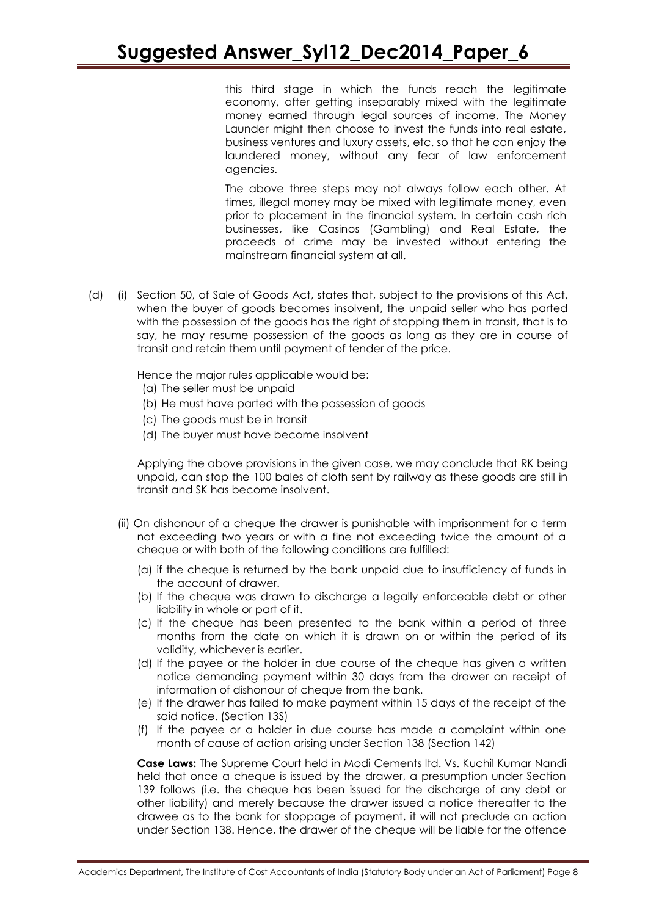this third stage in which the funds reach the legitimate economy, after getting inseparably mixed with the legitimate money earned through legal sources of income. The Money Launder might then choose to invest the funds into real estate, business ventures and luxury assets, etc. so that he can enjoy the laundered money, without any fear of law enforcement agencies.

The above three steps may not always follow each other. At times, illegal money may be mixed with legitimate money, even prior to placement in the financial system. In certain cash rich businesses, like Casinos (Gambling) and Real Estate, the proceeds of crime may be invested without entering the mainstream financial system at all.

(d) (i) Section 50, of Sale of Goods Act, states that, subject to the provisions of this Act, when the buyer of goods becomes insolvent, the unpaid seller who has parted with the possession of the goods has the right of stopping them in transit, that is to say, he may resume possession of the goods as long as they are in course of transit and retain them until payment of tender of the price.

Hence the major rules applicable would be:

- (a) The seller must be unpaid
- (b) He must have parted with the possession of goods
- (c) The goods must be in transit
- (d) The buyer must have become insolvent

Applying the above provisions in the given case, we may conclude that RK being unpaid, can stop the 100 bales of cloth sent by railway as these goods are still in transit and SK has become insolvent.

- (ii) On dishonour of a cheque the drawer is punishable with imprisonment for a term not exceeding two years or with a fine not exceeding twice the amount of a cheque or with both of the following conditions are fulfilled:
	- (a) if the cheque is returned by the bank unpaid due to insufficiency of funds in the account of drawer.
	- (b) If the cheque was drawn to discharge a legally enforceable debt or other liability in whole or part of it.
	- (c) If the cheque has been presented to the bank within a period of three months from the date on which it is drawn on or within the period of its validity, whichever is earlier.
	- (d) If the payee or the holder in due course of the cheque has given a written notice demanding payment within 30 days from the drawer on receipt of information of dishonour of cheque from the bank.
	- (e) If the drawer has failed to make payment within 15 days of the receipt of the said notice. (Section 13S)
	- (f) If the payee or a holder in due course has made a complaint within one month of cause of action arising under Section 138 (Section 142)

**Case Laws:** The Supreme Court held in Modi Cements ltd. Vs. Kuchil Kumar Nandi held that once a cheque is issued by the drawer, a presumption under Section 139 follows (i.e. the cheque has been issued for the discharge of any debt or other liability) and merely because the drawer issued a notice thereafter to the drawee as to the bank for stoppage of payment, it will not preclude an action under Section 138. Hence, the drawer of the cheque will be liable for the offence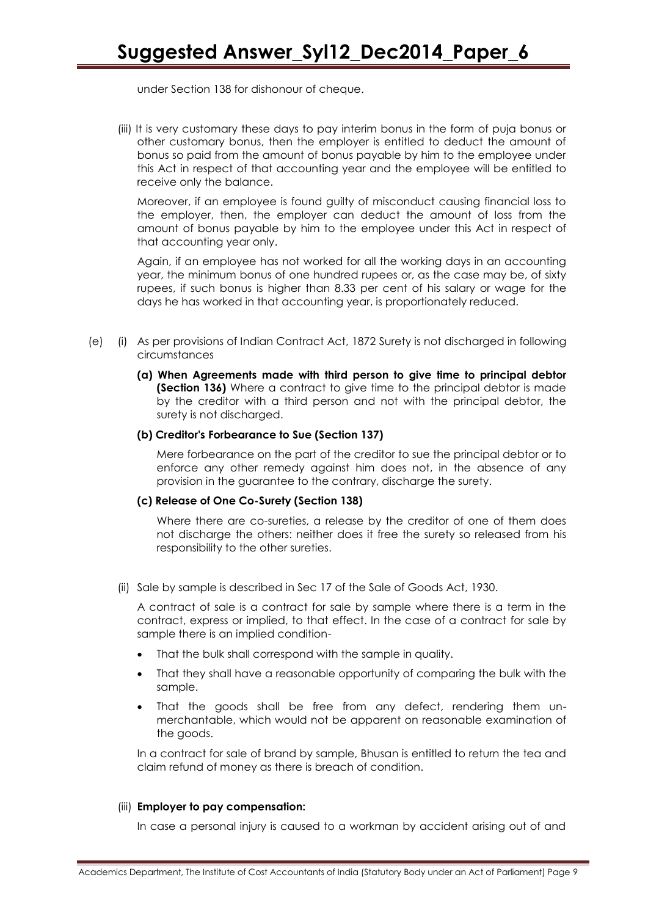under Section 138 for dishonour of cheque.

(iii) It is very customary these days to pay interim bonus in the form of puja bonus or other customary bonus, then the employer is entitled to deduct the amount of bonus so paid from the amount of bonus payable by him to the employee under this Act in respect of that accounting year and the employee will be entitled to receive only the balance.

Moreover, if an employee is found guilty of misconduct causing financial loss to the employer, then, the employer can deduct the amount of loss from the amount of bonus payable by him to the employee under this Act in respect of that accounting year only.

Again, if an employee has not worked for all the working days in an accounting year, the minimum bonus of one hundred rupees or, as the case may be, of sixty rupees, if such bonus is higher than 8.33 per cent of his salary or wage for the days he has worked in that accounting year, is proportionately reduced.

- (e) (i) As per provisions of Indian Contract Act, 1872 Surety is not discharged in following circumstances
	- **(a) When Agreements made with third person to give time to principal debtor (Section 136)** Where a contract to give time to the principal debtor is made by the creditor with a third person and not with the principal debtor, the surety is not discharged.

#### **(b) Creditor's Forbearance to Sue (Section 137)**

Mere forbearance on the part of the creditor to sue the principal debtor or to enforce any other remedy against him does not, in the absence of any provision in the guarantee to the contrary, discharge the surety.

#### **(c) Release of One Co-Surety (Section 138)**

Where there are co-sureties, a release by the creditor of one of them does not discharge the others: neither does it free the surety so released from his responsibility to the other sureties.

(ii) Sale by sample is described in Sec 17 of the Sale of Goods Act, 1930.

A contract of sale is a contract for sale by sample where there is a term in the contract, express or implied, to that effect. In the case of a contract for sale by sample there is an implied condition-

- That the bulk shall correspond with the sample in quality.
- That they shall have a reasonable opportunity of comparing the bulk with the sample.
- That the goods shall be free from any defect, rendering them unmerchantable, which would not be apparent on reasonable examination of the goods.

In a contract for sale of brand by sample, Bhusan is entitled to return the tea and claim refund of money as there is breach of condition.

#### (iii) **Employer to pay compensation:**

In case a personal injury is caused to a workman by accident arising out of and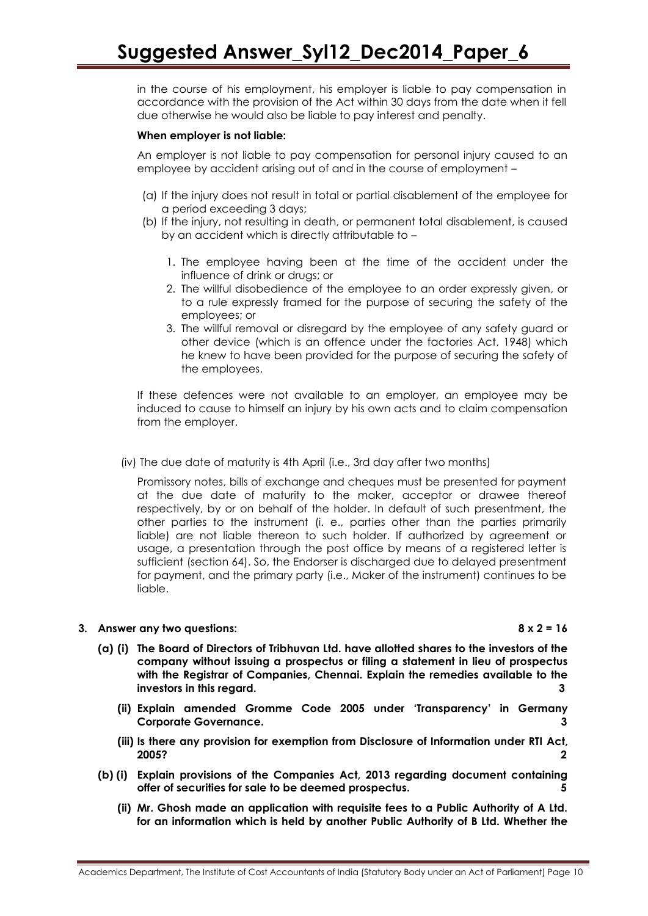in the course of his employment, his employer is liable to pay compensation in accordance with the provision of the Act within 30 days from the date when it fell due otherwise he would also be liable to pay interest and penalty.

#### **When employer is not liable:**

An employer is not liable to pay compensation for personal injury caused to an employee by accident arising out of and in the course of employment –

- (a) If the injury does not result in total or partial disablement of the employee for a period exceeding 3 days;
- (b) If the injury, not resulting in death, or permanent total disablement, is caused by an accident which is directly attributable to –
	- 1. The employee having been at the time of the accident under the influence of drink or drugs; or
	- 2. The willful disobedience of the employee to an order expressly given, or to a rule expressly framed for the purpose of securing the safety of the employees; or
	- 3. The willful removal or disregard by the employee of any safety guard or other device (which is an offence under the factories Act, 1948) which he knew to have been provided for the purpose of securing the safety of the employees.

If these defences were not available to an employer, an employee may be induced to cause to himself an injury by his own acts and to claim compensation from the employer.

(iv) The due date of maturity is 4th April (i.e., 3rd day after two months)

Promissory notes, bills of exchange and cheques must be presented for payment at the due date of maturity to the maker, acceptor or drawee thereof respectively, by or on behalf of the holder. In default of such presentment, the other parties to the instrument (i. e., parties other than the parties primarily liable) are not liable thereon to such holder. If authorized by agreement or usage, a presentation through the post office by means of a registered letter is sufficient (section 64). So, the Endorser is discharged due to delayed presentment for payment, and the primary party (i.e., Maker of the instrument) continues to be liable.

#### **3. Answer any two questions: 8 x 2 = 16**

- **(a) (i) The Board of Directors of Tribhuvan Ltd. have allotted shares to the investors of the company without issuing a prospectus or filing a statement in lieu of prospectus with the Registrar of Companies, Chennai. Explain the remedies available to the investors in this regard. 3**
	- **(ii) Explain amended Gromme Code 2005 under "Transparency" in Germany Corporate Governance. 3**
	- **(iii) Is there any provision for exemption from Disclosure of Information under RTI Act, 2005? 2**
- **(b) (i) Explain provisions of the Companies Act, 2013 regarding document containing offer of securities for sale to be deemed prospectus. 5**
	- **(ii) Mr. Ghosh made an application with requisite fees to a Public Authority of A Ltd. for an information which is held by another Public Authority of B Ltd. Whether the**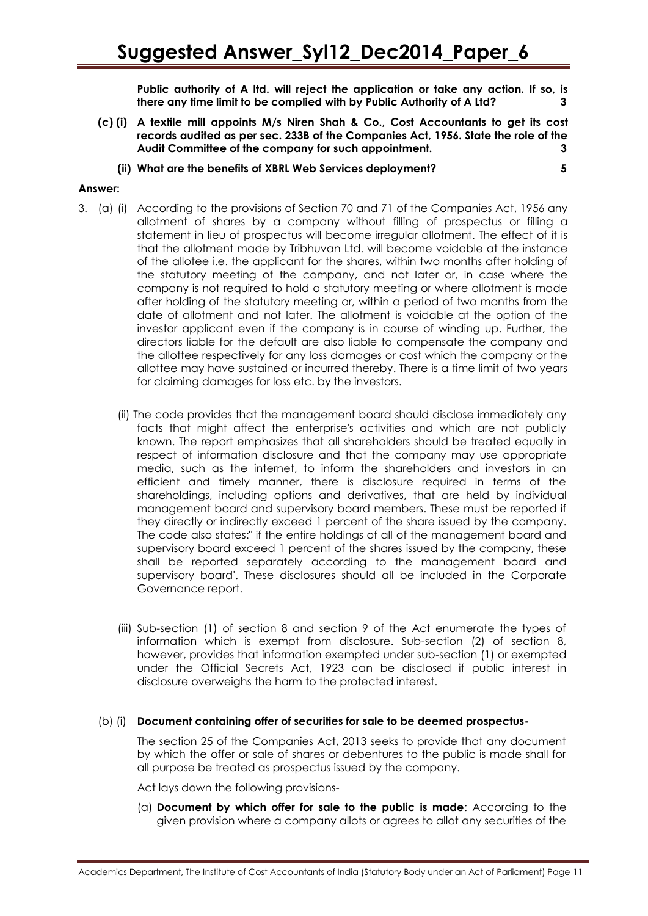**Public authority of A ltd. will reject the application or take any action. If so, is there any time limit to be complied with by Public Authority of A Ltd? 3**

- **(c) (i) A textile mill appoints M/s Niren Shah & Co., Cost Accountants to get its cost records audited as per sec. 233B of the Companies Act, 1956. State the role of the Audit Committee of the company for such appointment. 3**
	- **(ii) What are the benefits of XBRL Web Services deployment? 5**

### **Answer:**

- 3. (a) (i) According to the provisions of Section 70 and 71 of the Companies Act, 1956 any allotment of shares by a company without filling of prospectus or filling a statement in lieu of prospectus will become irregular allotment. The effect of it is that the allotment made by Tribhuvan Ltd. will become voidable at the instance of the allotee i.e. the applicant for the shares, within two months after holding of the statutory meeting of the company, and not later or, in case where the company is not required to hold a statutory meeting or where allotment is made after holding of the statutory meeting or, within a period of two months from the date of allotment and not later. The allotment is voidable at the option of the investor applicant even if the company is in course of winding up. Further, the directors liable for the default are also liable to compensate the company and the allottee respectively for any loss damages or cost which the company or the allottee may have sustained or incurred thereby. There is a time limit of two years for claiming damages for loss etc. by the investors.
	- (ii) The code provides that the management board should disclose immediately any facts that might affect the enterprise's activities and which are not publicly known. The report emphasizes that all shareholders should be treated equally in respect of information disclosure and that the company may use appropriate media, such as the internet, to inform the shareholders and investors in an efficient and timely manner, there is disclosure required in terms of the shareholdings, including options and derivatives, that are held by individual management board and supervisory board members. These must be reported if they directly or indirectly exceed 1 percent of the share issued by the company. The code also states:" if the entire holdings of all of the management board and supervisory board exceed 1 percent of the shares issued by the company, these shall be reported separately according to the management board and supervisory board'. These disclosures should all be included in the Corporate Governance report.
	- (iii) Sub-section (1) of section 8 and section 9 of the Act enumerate the types of information which is exempt from disclosure. Sub-section (2) of section 8, however, provides that information exempted under sub-section (1) or exempted under the Official Secrets Act, 1923 can be disclosed if public interest in disclosure overweighs the harm to the protected interest.

#### (b) (i) **Document containing offer of securities for sale to be deemed prospectus-**

The section 25 of the Companies Act, 2013 seeks to provide that any document by which the offer or sale of shares or debentures to the public is made shall for all purpose be treated as prospectus issued by the company.

Act lays down the following provisions-

(a) **Document by which offer for sale to the public is made**: According to the given provision where a company allots or agrees to allot any securities of the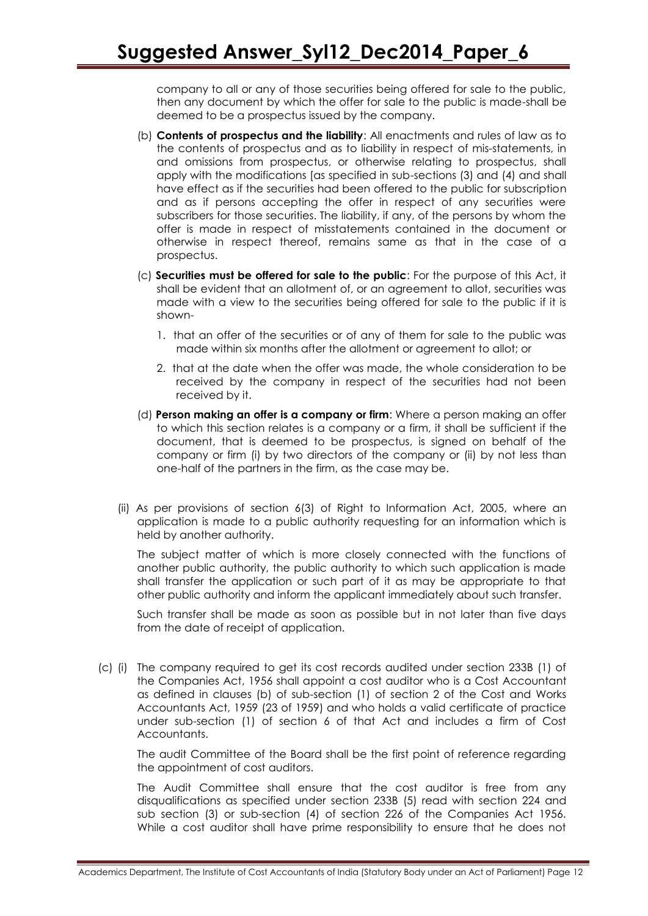company to all or any of those securities being offered for sale to the public, then any document by which the offer for sale to the public is made-shall be deemed to be a prospectus issued by the company.

- (b) **Contents of prospectus and the liability**: All enactments and rules of law as to the contents of prospectus and as to liability in respect of mis-statements, in and omissions from prospectus, or otherwise relating to prospectus, shall apply with the modifications [as specified in sub-sections (3) and (4) and shall have effect as if the securities had been offered to the public for subscription and as if persons accepting the offer in respect of any securities were subscribers for those securities. The liability, if any, of the persons by whom the offer is made in respect of misstatements contained in the document or otherwise in respect thereof, remains same as that in the case of a prospectus.
- (c) **Securities must be offered for sale to the public**: For the purpose of this Act, it shall be evident that an allotment of, or an agreement to allot, securities was made with a view to the securities being offered for sale to the public if it is shown-
	- 1. that an offer of the securities or of any of them for sale to the public was made within six months after the allotment or agreement to allot; or
	- 2. that at the date when the offer was made, the whole consideration to be received by the company in respect of the securities had not been received by it.
- (d) **Person making an offer is a company or firm**: Where a person making an offer to which this section relates is a company or a firm, it shall be sufficient if the document, that is deemed to be prospectus, is signed on behalf of the company or firm (i) by two directors of the company or (ii) by not less than one-half of the partners in the firm, as the case may be.
- (ii) As per provisions of section 6(3) of Right to Information Act, 2005, where an application is made to a public authority requesting for an information which is held by another authority.

The subject matter of which is more closely connected with the functions of another public authority, the public authority to which such application is made shall transfer the application or such part of it as may be appropriate to that other public authority and inform the applicant immediately about such transfer.

Such transfer shall be made as soon as possible but in not later than five days from the date of receipt of application.

(c) (i) The company required to get its cost records audited under section 233B (1) of the Companies Act, 1956 shall appoint a cost auditor who is a Cost Accountant as defined in clauses (b) of sub-section (1) of section 2 of the Cost and Works Accountants Act, 1959 (23 of 1959) and who holds a valid certificate of practice under sub-section (1) of section 6 of that Act and includes a firm of Cost Accountants.

The audit Committee of the Board shall be the first point of reference regarding the appointment of cost auditors.

The Audit Committee shall ensure that the cost auditor is free from any disqualifications as specified under section 233B (5) read with section 224 and sub section (3) or sub-section (4) of section 226 of the Companies Act 1956. While a cost auditor shall have prime responsibility to ensure that he does not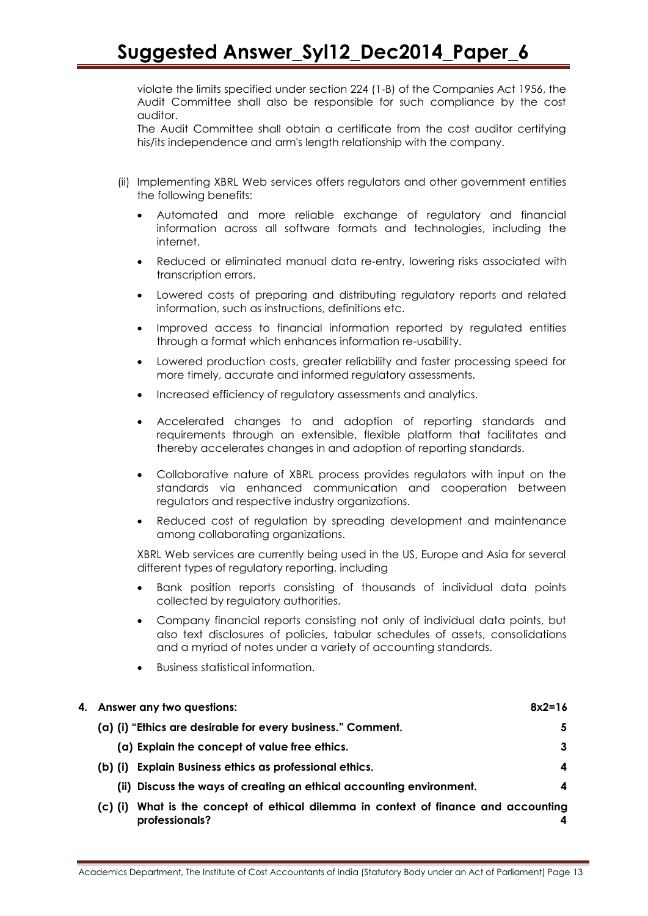violate the limits specified under section 224 (1-B) of the Companies Act 1956, the Audit Committee shall also be responsible for such compliance by the cost auditor.

The Audit Committee shall obtain a certificate from the cost auditor certifying his/its independence and arm's length relationship with the company.

- (ii) Implementing XBRL Web services offers regulators and other government entities the following benefits:
	- Automated and more reliable exchange of regulatory and financial information across all software formats and technologies, including the internet.
	- Reduced or eliminated manual data re-entry, lowering risks associated with transcription errors.
	- Lowered costs of preparing and distributing regulatory reports and related information, such as instructions, definitions etc.
	- Improved access to financial information reported by regulated entities through a format which enhances information re-usability.
	- Lowered production costs, greater reliability and faster processing speed for more timely, accurate and informed regulatory assessments.
	- Increased efficiency of regulatory assessments and analytics.
	- Accelerated changes to and adoption of reporting standards and requirements through an extensible, flexible platform that facilitates and thereby accelerates changes in and adoption of reporting standards.
	- Collaborative nature of XBRL process provides regulators with input on the standards via enhanced communication and cooperation between regulators and respective industry organizations.
	- Reduced cost of regulation by spreading development and maintenance among collaborating organizations.

XBRL Web services are currently being used in the US, Europe and Asia for several different types of regulatory reporting, including

- Bank position reports consisting of thousands of individual data points collected by regulatory authorities.
- Company financial reports consisting not only of individual data points, but also text disclosures of policies, tabular schedules of assets, consolidations and a myriad of notes under a variety of accounting standards.
- Business statistical information.

| 4. Answer any two questions: |                                                                                               | $8x2=16$ |
|------------------------------|-----------------------------------------------------------------------------------------------|----------|
|                              | (a) (i) "Ethics are desirable for every business." Comment.                                   | 5        |
|                              | (a) Explain the concept of value free ethics.                                                 | 3        |
| (b) (i)                      | Explain Business ethics as professional ethics.                                               | 4        |
| (ii)                         | Discuss the ways of creating an ethical accounting environment.                               | 4        |
| $(C)$ (i)                    | What is the concept of ethical dilemma in context of finance and accounting<br>professionals? |          |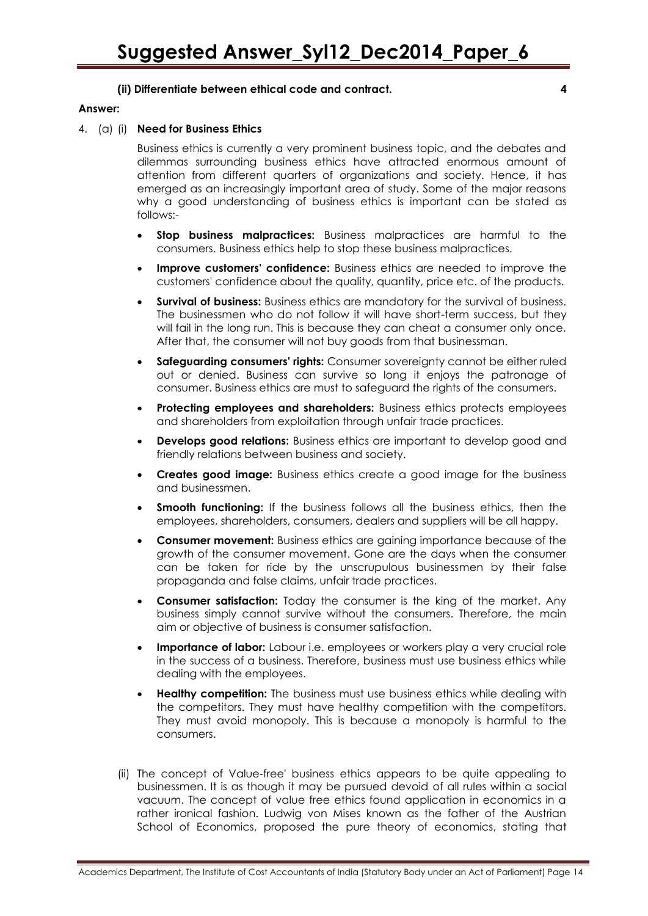#### **(ii) Differentiate between ethical code and contract. 4**

#### **Answer:**

#### 4. (a) (i) **Need for Business Ethics**

Business ethics is currently a very prominent business topic, and the debates and dilemmas surrounding business ethics have attracted enormous amount of attention from different quarters of organizations and society. Hence, it has emerged as an increasingly important area of study. Some of the major reasons why a good understanding of business ethics is important can be stated as follows:-

- **Stop business malpractices:** Business malpractices are harmful to the consumers. Business ethics help to stop these business malpractices.
- **Improve customers' confidence:** Business ethics are needed to improve the customers' confidence about the quality, quantity, price etc. of the products.
- **Survival of business:** Business ethics are mandatory for the survival of business. The businessmen who do not follow it will have short-term success, but they will fail in the long run. This is because they can cheat a consumer only once. After that, the consumer will not buy goods from that businessman.
- **Safeguarding consumers' rights:** Consumer sovereignty cannot be either ruled out or denied. Business can survive so long it enjoys the patronage of consumer. Business ethics are must to safeguard the rights of the consumers.
- **Protecting employees and shareholders:** Business ethics protects employees and shareholders from exploitation through unfair trade practices.
- **Develops good relations:** Business ethics are important to develop good and friendly relations between business and society.
- **Creates good image:** Business ethics create a good image for the business and businessmen.
- **Smooth functioning:** If the business follows all the business ethics, then the employees, shareholders, consumers, dealers and suppliers will be all happy.
- **Consumer movement:** Business ethics are gaining importance because of the growth of the consumer movement. Gone are the days when the consumer can be taken for ride by the unscrupulous businessmen by their false propaganda and false claims, unfair trade practices.
- **Consumer satisfaction:** Today the consumer is the king of the market. Any business simply cannot survive without the consumers. Therefore, the main aim or objective of business is consumer satisfaction.
- **Importance of labor:** Labour i.e. employees or workers play a very crucial role in the success of a business. Therefore, business must use business ethics while dealing with the employees.
- **Healthy competition:** The business must use business ethics while dealing with the competitors. They must have healthy competition with the competitors. They must avoid monopoly. This is because a monopoly is harmful to the consumers.
- (ii) The concept of Value-free' business ethics appears to be quite appealing to businessmen. It is as though it may be pursued devoid of all rules within a social vacuum. The concept of value free ethics found application in economics in a rather ironical fashion. Ludwig von Mises known as the father of the Austrian School of Economics, proposed the pure theory of economics, stating that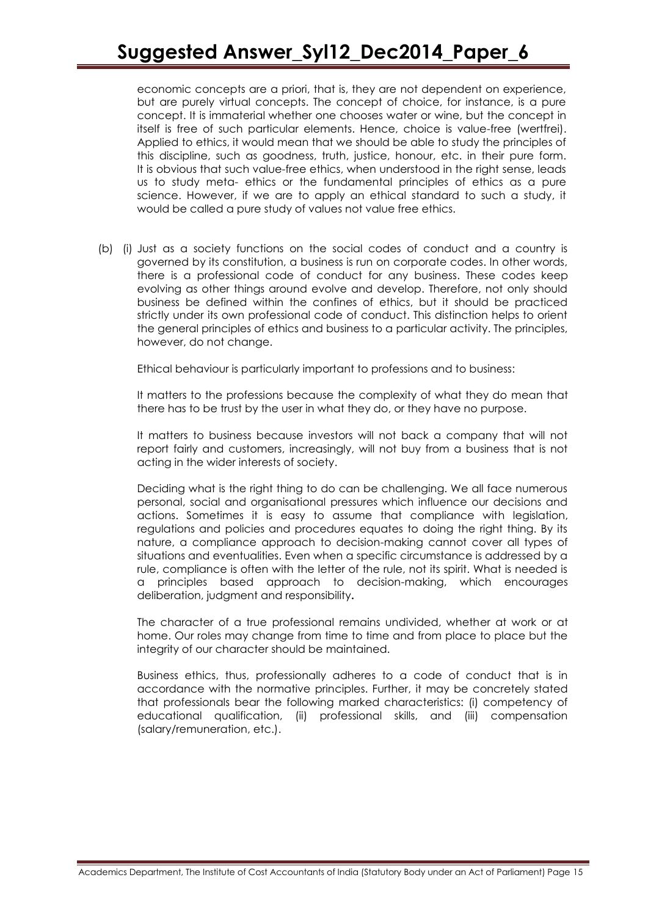# **Suggested Answer\_Syl12\_Dec2014\_Paper\_6**

economic concepts are a priori, that is, they are not dependent on experience, but are purely virtual concepts. The concept of choice, for instance, is a pure concept. It is immaterial whether one chooses water or wine, but the concept in itself is free of such particular elements. Hence, choice is value-free (wertfrei). Applied to ethics, it would mean that we should be able to study the principles of this discipline, such as goodness, truth, justice, honour, etc. in their pure form. It is obvious that such value-free ethics, when understood in the right sense, leads us to study meta- ethics or the fundamental principles of ethics as a pure science. However, if we are to apply an ethical standard to such a study, it would be called a pure study of values not value free ethics.

(b) (i) Just as a society functions on the social codes of conduct and a country is governed by its constitution, a business is run on corporate codes. In other words, there is a professional code of conduct for any business. These codes keep evolving as other things around evolve and develop. Therefore, not only should business be defined within the confines of ethics, but it should be practiced strictly under its own professional code of conduct. This distinction helps to orient the general principles of ethics and business to a particular activity. The principles, however, do not change.

Ethical behaviour is particularly important to professions and to business:

It matters to the professions because the complexity of what they do mean that there has to be trust by the user in what they do, or they have no purpose.

It matters to business because investors will not back a company that will not report fairly and customers, increasingly, will not buy from a business that is not acting in the wider interests of society.

Deciding what is the right thing to do can be challenging. We all face numerous personal, social and organisational pressures which influence our decisions and actions. Sometimes it is easy to assume that compliance with legislation, regulations and policies and procedures equates to doing the right thing. By its nature, a compliance approach to decision-making cannot cover all types of situations and eventualities. Even when a specific circumstance is addressed by a rule, compliance is often with the letter of the rule, not its spirit. What is needed is a principles based approach to decision-making, which encourages deliberation, judgment and responsibility**.**

The character of a true professional remains undivided, whether at work or at home. Our roles may change from time to time and from place to place but the integrity of our character should be maintained.

Business ethics, thus, professionally adheres to a code of conduct that is in accordance with the normative principles. Further, it may be concretely stated that professionals bear the following marked characteristics: (i) competency of educational qualification, (ii) professional skills, and (iii) compensation (salary/remuneration, etc.).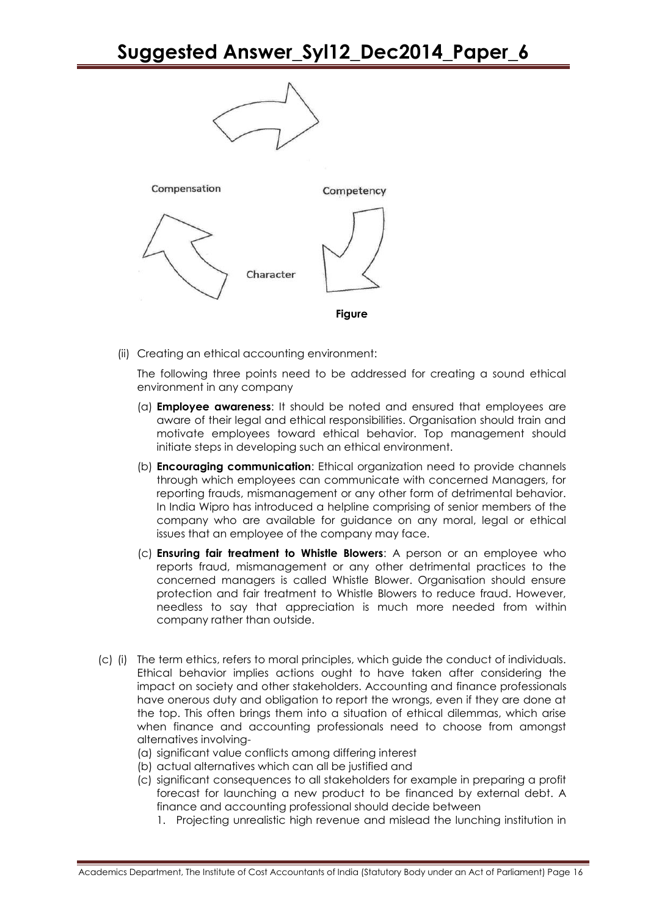# **Suggested Answer\_Syl12\_Dec2014\_Paper\_6**



(ii) Creating an ethical accounting environment:

The following three points need to be addressed for creating a sound ethical environment in any company

- (a) **Employee awareness**: It should be noted and ensured that employees are aware of their legal and ethical responsibilities. Organisation should train and motivate employees toward ethical behavior. Top management should initiate steps in developing such an ethical environment.
- (b) **Encouraging communication**: Ethical organization need to provide channels through which employees can communicate with concerned Managers, for reporting frauds, mismanagement or any other form of detrimental behavior. In India Wipro has introduced a helpline comprising of senior members of the company who are available for guidance on any moral, legal or ethical issues that an employee of the company may face.
- (c) **Ensuring fair treatment to Whistle Blowers**: A person or an employee who reports fraud, mismanagement or any other detrimental practices to the concerned managers is called Whistle Blower. Organisation should ensure protection and fair treatment to Whistle Blowers to reduce fraud. However, needless to say that appreciation is much more needed from within company rather than outside.
- (c) (i) The term ethics, refers to moral principles, which guide the conduct of individuals. Ethical behavior implies actions ought to have taken after considering the impact on society and other stakeholders. Accounting and finance professionals have onerous duty and obligation to report the wrongs, even if they are done at the top. This often brings them into a situation of ethical dilemmas, which arise when finance and accounting professionals need to choose from amongst alternatives involving-
	- (a) significant value conflicts among differing interest
	- (b) actual alternatives which can all be justified and
	- (c) significant consequences to all stakeholders for example in preparing a profit forecast for launching a new product to be financed by external debt. A finance and accounting professional should decide between
		- 1. Projecting unrealistic high revenue and mislead the lunching institution in